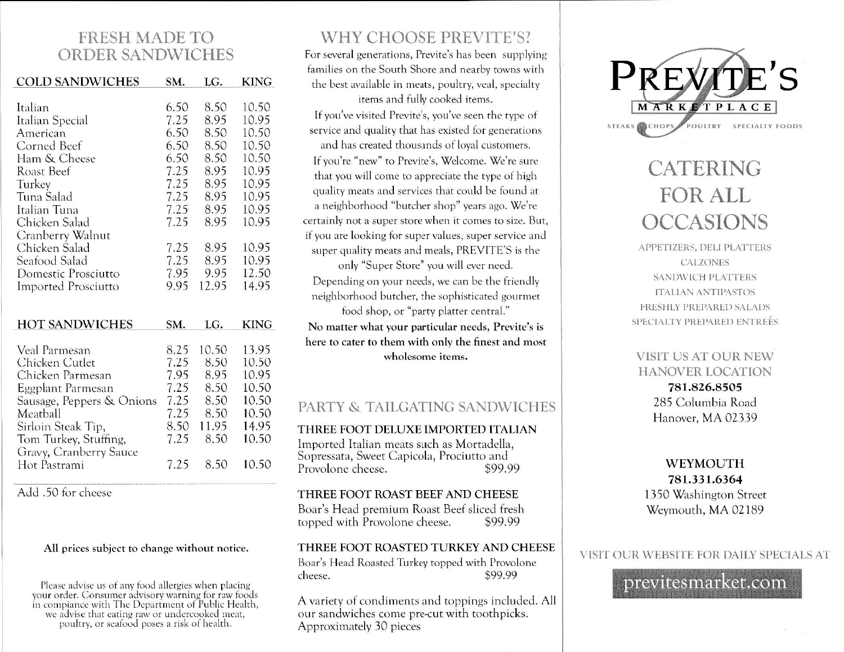# **FRESH MADE TO ORDER SANDWICHES**

| <b>COLD SANDWICHES</b>     | SM.  | LG.   | <b>KING</b> |
|----------------------------|------|-------|-------------|
|                            |      |       |             |
| Italian                    | 6.50 | 8.50  | 10.50       |
| Italian Special            | 7.25 | 8.95  | 10.95       |
| American                   | 6.50 | 8.50  | 10.50       |
| Corned Beef                | 6.50 | 8.50  | 10.50       |
| Ham & Cheese               | 6.50 | 8.50  | 10.50       |
| <b>Roast Beef</b>          | 7.25 | 8.95  | 10.95       |
| Turkey                     | 7.25 | 8.95  | 10.95       |
| Tuna Salad                 | 7.25 | 8.95  | 10.95       |
| Italian Tuna               | 7.25 | 8.95  | 10.95       |
| Chicken Salad              | 7.25 | 8.95  | 10.95       |
| Cranberry Walnut           |      |       |             |
| Chicken Salad              | 7.25 | 8.95  | 10.95       |
| Seafood Salad              | 7.25 | 8.95  | 10.95       |
| Domestic Prosciutto        | 7.95 | 9.95  | 12.50       |
| <b>Imported Prosciutto</b> | 9.95 | 12.95 | 14.95       |
|                            |      |       |             |
|                            | SM.  | LG.   |             |
| <b>HOT SANDWICHES</b>      |      |       | <b>KING</b> |
| Veal Parmesan              | 8.25 | 10.50 | 13.95       |
| Chicken Cutlet             | 7.25 | 8.50  | 10.50       |
| Chicken Parmesan           | 7.95 | 8.95  | 10.95       |
| Eggplant Parmesan          | 7.25 | 8.50  | 10.50       |
| Sausage, Peppers & Onions  | 7.25 | 8.50  | 10.50       |
| Meatball                   | 7.25 | 8.50  | 10.50       |
| Sirloin Steak Tip,         | 8.50 | 11.95 | 14.95       |
| Tom Turkey, Stuffing,      | 7.25 | 8.50  | 10.50       |
| Gravy, Cranberry Sauce     |      |       |             |
| Hot Pastrami               | 7.25 | 8.50  | 10.50       |

Add .50 for cheese

#### All prices subject to change without notice.

Please advise us of any food allergies when placing<br>your order. Consumer advisory warning for raw foods<br>in compiance with The Department of Public Health, we advise that eating raw or undercooked meat,<br>poultry, or seafood poses a risk of health.

# WHY CHOOSE PREVITE'S?

For several generations, Previte's has been supplying families on the South Shore and nearby towns with the best available in meats, poultry, veal, specialty items and fully cooked items.

If you've visited Previte's, you've seen the type of service and quality that has existed for generations and has created thousands of loval customers.

If you're "new" to Previte's, Welcome. We're sure that you will come to appreciate the type of high quality meats and services that could be found at a neighborhood "butcher shop" years ago. We're certainly not a super store when it comes to size. But, if you are looking for super values, super service and super quality meats and meals, PREVITE'S is the

only "Super Store" you will ever need.

Depending on your needs, we can be the friendly neighborhood butcher, the sophisticated gourmet food shop, or "party platter central." No matter what your particular needs, Previte's is

here to cater to them with only the finest and most wholesome items.

## PARTY & TAILGATING SANDWICHES

#### THREE FOOT DELUXE IMPORTED ITALIAN

Imported Italian meats such as Mortadella, Sopressata, Sweet Capicola, Prociutto and Provolone cheese. \$99.99

THREE FOOT ROAST BEEF AND CHEESE Boar's Head premium Roast Beef sliced fresh topped with Provolone cheese. \$99.99

#### THREE FOOT ROASTED TURKEY AND CHEESE

Boar's Head Roasted Turkey topped with Provolone \$99.99 cheese.

A variety of condiments and toppings included. All our sandwiches come pre-cut with toothpicks. Approximately 30 pieces



# CATERING FOR ALL **OCCASIONS**

APPETIZERS, DELI PLATTERS **CALZONES SANDWICH PLATTERS ITALIAN ANTIPASTOS** FRESHLY PREPARED SALADS SPECIALTY PREPARED ENTREÉS

**VISIT US AT OUR NEW HANOVER LOCATION** 781.826.8505 285 Columbia Road Hanover, MA 02339

#### **WEYMOUTH** 781.331.6364 1350 Washington Street Weymouth, MA 02189

#### VISIT OUR WEBSITE FOR DAILY SPECIALS AT

previtesmarket.com